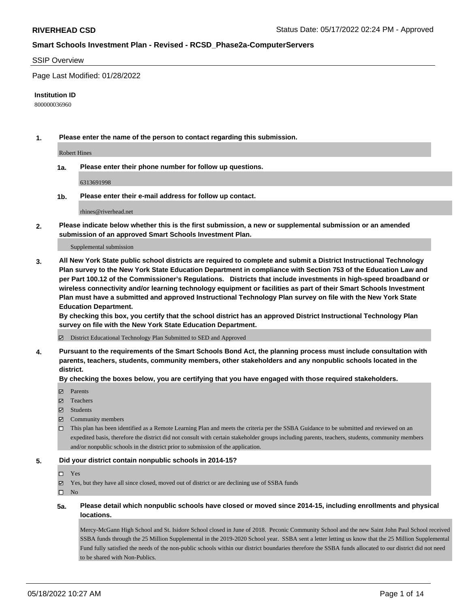#### SSIP Overview

Page Last Modified: 01/28/2022

#### **Institution ID**

800000036960

**1. Please enter the name of the person to contact regarding this submission.**

Robert Hines

**1a. Please enter their phone number for follow up questions.**

6313691998

**1b. Please enter their e-mail address for follow up contact.**

rhines@riverhead.net

**2. Please indicate below whether this is the first submission, a new or supplemental submission or an amended submission of an approved Smart Schools Investment Plan.**

Supplemental submission

**3. All New York State public school districts are required to complete and submit a District Instructional Technology Plan survey to the New York State Education Department in compliance with Section 753 of the Education Law and per Part 100.12 of the Commissioner's Regulations. Districts that include investments in high-speed broadband or wireless connectivity and/or learning technology equipment or facilities as part of their Smart Schools Investment Plan must have a submitted and approved Instructional Technology Plan survey on file with the New York State Education Department.** 

**By checking this box, you certify that the school district has an approved District Instructional Technology Plan survey on file with the New York State Education Department.**

District Educational Technology Plan Submitted to SED and Approved

**4. Pursuant to the requirements of the Smart Schools Bond Act, the planning process must include consultation with parents, teachers, students, community members, other stakeholders and any nonpublic schools located in the district.** 

**By checking the boxes below, you are certifying that you have engaged with those required stakeholders.**

- $\blacksquare$  Parents
- Teachers
- Students
- $\Xi$  Community members
- This plan has been identified as a Remote Learning Plan and meets the criteria per the SSBA Guidance to be submitted and reviewed on an expedited basis, therefore the district did not consult with certain stakeholder groups including parents, teachers, students, community members and/or nonpublic schools in the district prior to submission of the application.

#### **5. Did your district contain nonpublic schools in 2014-15?**

#### Yes

 $\boxtimes$  Yes, but they have all since closed, moved out of district or are declining use of SSBA funds

 $\square$  No

**5a. Please detail which nonpublic schools have closed or moved since 2014-15, including enrollments and physical locations.**

Mercy-McGann High School and St. Isidore School closed in June of 2018. Peconic Community School and the new Saint John Paul School received SSBA funds through the 25 Million Supplemental in the 2019-2020 School year. SSBA sent a letter letting us know that the 25 Million Supplemental Fund fully satisfied the needs of the non-public schools within our district boundaries therefore the SSBA funds allocated to our district did not need to be shared with Non-Publics.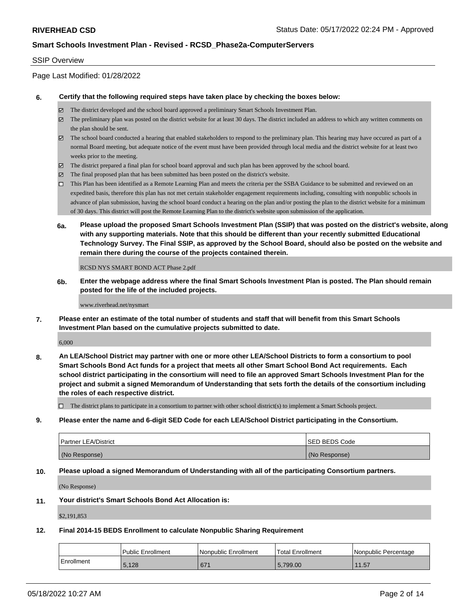#### SSIP Overview

# Page Last Modified: 01/28/2022

#### **6. Certify that the following required steps have taken place by checking the boxes below:**

- The district developed and the school board approved a preliminary Smart Schools Investment Plan.
- $\boxtimes$  The preliminary plan was posted on the district website for at least 30 days. The district included an address to which any written comments on the plan should be sent.
- $\boxtimes$  The school board conducted a hearing that enabled stakeholders to respond to the preliminary plan. This hearing may have occured as part of a normal Board meeting, but adequate notice of the event must have been provided through local media and the district website for at least two weeks prior to the meeting.
- The district prepared a final plan for school board approval and such plan has been approved by the school board.
- $\boxtimes$  The final proposed plan that has been submitted has been posted on the district's website.
- This Plan has been identified as a Remote Learning Plan and meets the criteria per the SSBA Guidance to be submitted and reviewed on an expedited basis, therefore this plan has not met certain stakeholder engagement requirements including, consulting with nonpublic schools in advance of plan submission, having the school board conduct a hearing on the plan and/or posting the plan to the district website for a minimum of 30 days. This district will post the Remote Learning Plan to the district's website upon submission of the application.
- **6a. Please upload the proposed Smart Schools Investment Plan (SSIP) that was posted on the district's website, along with any supporting materials. Note that this should be different than your recently submitted Educational Technology Survey. The Final SSIP, as approved by the School Board, should also be posted on the website and remain there during the course of the projects contained therein.**

RCSD NYS SMART BOND ACT Phase 2.pdf

**6b. Enter the webpage address where the final Smart Schools Investment Plan is posted. The Plan should remain posted for the life of the included projects.**

www.riverhead.net/nysmart

**7. Please enter an estimate of the total number of students and staff that will benefit from this Smart Schools Investment Plan based on the cumulative projects submitted to date.**

6,000

**8. An LEA/School District may partner with one or more other LEA/School Districts to form a consortium to pool Smart Schools Bond Act funds for a project that meets all other Smart School Bond Act requirements. Each school district participating in the consortium will need to file an approved Smart Schools Investment Plan for the project and submit a signed Memorandum of Understanding that sets forth the details of the consortium including the roles of each respective district.**

 $\Box$  The district plans to participate in a consortium to partner with other school district(s) to implement a Smart Schools project.

**9. Please enter the name and 6-digit SED Code for each LEA/School District participating in the Consortium.**

| <b>Partner LEA/District</b> | <b>ISED BEDS Code</b> |
|-----------------------------|-----------------------|
| (No Response)               | (No Response)         |

#### **10. Please upload a signed Memorandum of Understanding with all of the participating Consortium partners.**

(No Response)

# **11. Your district's Smart Schools Bond Act Allocation is:**

\$2,191,853

# **12. Final 2014-15 BEDS Enrollment to calculate Nonpublic Sharing Requirement**

|            | <b>Public Enrollment</b> | l Nonpublic Enrollment | <b>Total Enrollment</b> | l Nonpublic Percentage |
|------------|--------------------------|------------------------|-------------------------|------------------------|
| Enrollment | 5,128                    | 671                    | 5.799.00                | 11.57                  |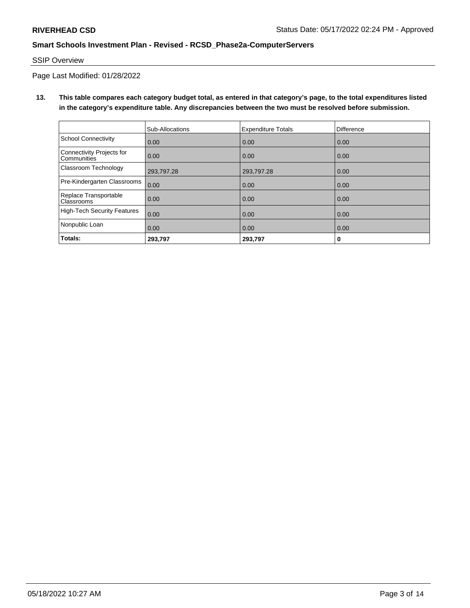# SSIP Overview

Page Last Modified: 01/28/2022

**13. This table compares each category budget total, as entered in that category's page, to the total expenditures listed in the category's expenditure table. Any discrepancies between the two must be resolved before submission.**

|                                                 | Sub-Allocations | <b>Expenditure Totals</b> | Difference |
|-------------------------------------------------|-----------------|---------------------------|------------|
| School Connectivity                             | 0.00            | 0.00                      | 0.00       |
| Connectivity Projects for<br><b>Communities</b> | 0.00            | 0.00                      | 0.00       |
| <b>Classroom Technology</b>                     | 293,797.28      | 293,797.28                | 0.00       |
| Pre-Kindergarten Classrooms                     | 0.00            | 0.00                      | 0.00       |
| Replace Transportable<br>Classrooms             | 0.00            | 0.00                      | 0.00       |
| High-Tech Security Features                     | 0.00            | 0.00                      | 0.00       |
| Nonpublic Loan                                  | 0.00            | 0.00                      | 0.00       |
| Totals:                                         | 293,797         | 293,797                   | 0          |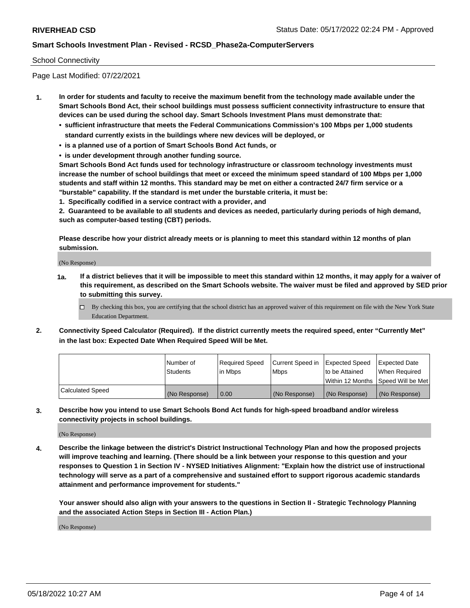#### School Connectivity

Page Last Modified: 07/22/2021

- **1. In order for students and faculty to receive the maximum benefit from the technology made available under the Smart Schools Bond Act, their school buildings must possess sufficient connectivity infrastructure to ensure that devices can be used during the school day. Smart Schools Investment Plans must demonstrate that:**
	- **• sufficient infrastructure that meets the Federal Communications Commission's 100 Mbps per 1,000 students standard currently exists in the buildings where new devices will be deployed, or**
	- **• is a planned use of a portion of Smart Schools Bond Act funds, or**
	- **• is under development through another funding source.**

**Smart Schools Bond Act funds used for technology infrastructure or classroom technology investments must increase the number of school buildings that meet or exceed the minimum speed standard of 100 Mbps per 1,000 students and staff within 12 months. This standard may be met on either a contracted 24/7 firm service or a "burstable" capability. If the standard is met under the burstable criteria, it must be:**

**1. Specifically codified in a service contract with a provider, and**

**2. Guaranteed to be available to all students and devices as needed, particularly during periods of high demand, such as computer-based testing (CBT) periods.**

**Please describe how your district already meets or is planning to meet this standard within 12 months of plan submission.**

(No Response)

- **1a. If a district believes that it will be impossible to meet this standard within 12 months, it may apply for a waiver of this requirement, as described on the Smart Schools website. The waiver must be filed and approved by SED prior to submitting this survey.**
	- By checking this box, you are certifying that the school district has an approved waiver of this requirement on file with the New York State Education Department.
- **2. Connectivity Speed Calculator (Required). If the district currently meets the required speed, enter "Currently Met" in the last box: Expected Date When Required Speed Will be Met.**

|                         | l Number of     | Required Speed | Current Speed in   Expected Speed |                                      | Expected Date |
|-------------------------|-----------------|----------------|-----------------------------------|--------------------------------------|---------------|
|                         | <b>Students</b> | lin Mbps       | <b>Mbps</b>                       | to be Attained                       | When Required |
|                         |                 |                |                                   | Within 12 Months   Speed Will be Met |               |
| <b>Calculated Speed</b> | (No Response)   | 0.00           | (No Response)                     | (No Response)                        | (No Response) |

**3. Describe how you intend to use Smart Schools Bond Act funds for high-speed broadband and/or wireless connectivity projects in school buildings.**

(No Response)

**4. Describe the linkage between the district's District Instructional Technology Plan and how the proposed projects will improve teaching and learning. (There should be a link between your response to this question and your responses to Question 1 in Section IV - NYSED Initiatives Alignment: "Explain how the district use of instructional technology will serve as a part of a comprehensive and sustained effort to support rigorous academic standards attainment and performance improvement for students."** 

**Your answer should also align with your answers to the questions in Section II - Strategic Technology Planning and the associated Action Steps in Section III - Action Plan.)**

(No Response)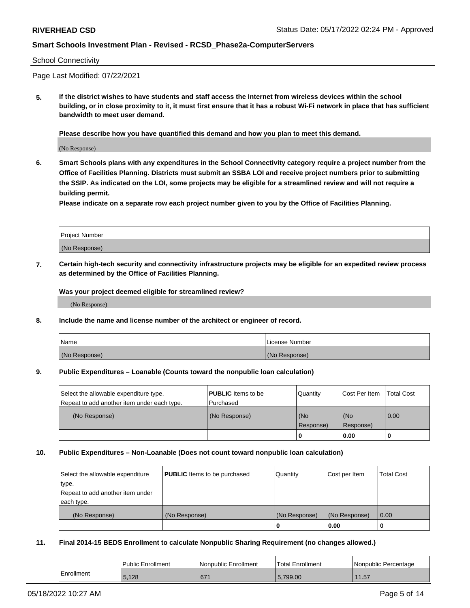#### School Connectivity

Page Last Modified: 07/22/2021

**5. If the district wishes to have students and staff access the Internet from wireless devices within the school building, or in close proximity to it, it must first ensure that it has a robust Wi-Fi network in place that has sufficient bandwidth to meet user demand.**

**Please describe how you have quantified this demand and how you plan to meet this demand.**

(No Response)

**6. Smart Schools plans with any expenditures in the School Connectivity category require a project number from the Office of Facilities Planning. Districts must submit an SSBA LOI and receive project numbers prior to submitting the SSIP. As indicated on the LOI, some projects may be eligible for a streamlined review and will not require a building permit.**

**Please indicate on a separate row each project number given to you by the Office of Facilities Planning.**

| <b>Project Number</b> |  |
|-----------------------|--|
| (No Response)         |  |

**7. Certain high-tech security and connectivity infrastructure projects may be eligible for an expedited review process as determined by the Office of Facilities Planning.**

**Was your project deemed eligible for streamlined review?**

(No Response)

#### **8. Include the name and license number of the architect or engineer of record.**

| Name          | License Number |
|---------------|----------------|
| (No Response) | (No Response)  |

#### **9. Public Expenditures – Loanable (Counts toward the nonpublic loan calculation)**

| Select the allowable expenditure type.<br>Repeat to add another item under each type. | <b>PUBLIC</b> Items to be<br>Purchased | Quantity         | Cost Per Item    | <b>Total Cost</b> |
|---------------------------------------------------------------------------------------|----------------------------------------|------------------|------------------|-------------------|
| (No Response)                                                                         | (No Response)                          | (No<br>Response) | (No<br>Response) | 0.00              |
|                                                                                       |                                        | 0                | 0.00             |                   |

### **10. Public Expenditures – Non-Loanable (Does not count toward nonpublic loan calculation)**

| Select the allowable expenditure | <b>PUBLIC</b> Items to be purchased | Quantity      | Cost per Item | <b>Total Cost</b> |
|----------------------------------|-------------------------------------|---------------|---------------|-------------------|
| type.                            |                                     |               |               |                   |
| Repeat to add another item under |                                     |               |               |                   |
| each type.                       |                                     |               |               |                   |
| (No Response)                    | (No Response)                       | (No Response) | (No Response) | 0.00              |
|                                  |                                     | 0             | 0.00          |                   |

#### **11. Final 2014-15 BEDS Enrollment to calculate Nonpublic Sharing Requirement (no changes allowed.)**

|            | Public Enrollment | Nonpublic Enrollment | <b>Total Enrollment</b> | Nonpublic Percentage |
|------------|-------------------|----------------------|-------------------------|----------------------|
| Enrollment | 5.128             | 671                  | 5.799.00                | 11.57                |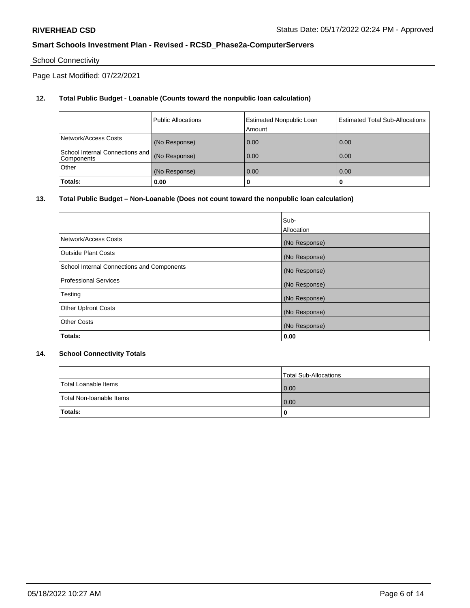# School Connectivity

Page Last Modified: 07/22/2021

# **12. Total Public Budget - Loanable (Counts toward the nonpublic loan calculation)**

|                                               | <b>Public Allocations</b> | <b>Estimated Nonpublic Loan</b><br>Amount | Estimated Total Sub-Allocations |
|-----------------------------------------------|---------------------------|-------------------------------------------|---------------------------------|
| Network/Access Costs                          | (No Response)             | 0.00                                      | 0.00                            |
| School Internal Connections and<br>Components | (No Response)             | 0.00                                      | 0.00                            |
| Other                                         | (No Response)             | 0.00                                      | 0.00                            |
| Totals:                                       | 0.00                      |                                           | 0                               |

### **13. Total Public Budget – Non-Loanable (Does not count toward the nonpublic loan calculation)**

|                                            | Sub-          |
|--------------------------------------------|---------------|
|                                            | Allocation    |
| Network/Access Costs                       | (No Response) |
| <b>Outside Plant Costs</b>                 | (No Response) |
| School Internal Connections and Components | (No Response) |
| <b>Professional Services</b>               | (No Response) |
| Testing                                    | (No Response) |
| <b>Other Upfront Costs</b>                 | (No Response) |
| <b>Other Costs</b>                         | (No Response) |
| Totals:                                    | 0.00          |

### **14. School Connectivity Totals**

|                          | Total Sub-Allocations |
|--------------------------|-----------------------|
| Total Loanable Items     | 0.00                  |
| Total Non-Ioanable Items | 0.00                  |
| Totals:                  | 0                     |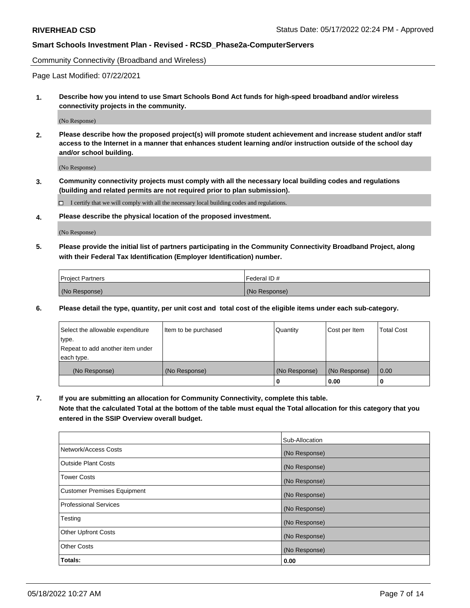Community Connectivity (Broadband and Wireless)

Page Last Modified: 07/22/2021

**1. Describe how you intend to use Smart Schools Bond Act funds for high-speed broadband and/or wireless connectivity projects in the community.**

(No Response)

**2. Please describe how the proposed project(s) will promote student achievement and increase student and/or staff access to the Internet in a manner that enhances student learning and/or instruction outside of the school day and/or school building.**

(No Response)

**3. Community connectivity projects must comply with all the necessary local building codes and regulations (building and related permits are not required prior to plan submission).**

 $\Box$  I certify that we will comply with all the necessary local building codes and regulations.

**4. Please describe the physical location of the proposed investment.**

(No Response)

**5. Please provide the initial list of partners participating in the Community Connectivity Broadband Project, along with their Federal Tax Identification (Employer Identification) number.**

| <b>Project Partners</b> | Federal ID#   |
|-------------------------|---------------|
| (No Response)           | (No Response) |

**6. Please detail the type, quantity, per unit cost and total cost of the eligible items under each sub-category.**

| Select the allowable expenditure | Item to be purchased | Quantity      | Cost per Item | <b>Total Cost</b> |
|----------------------------------|----------------------|---------------|---------------|-------------------|
| type.                            |                      |               |               |                   |
| Repeat to add another item under |                      |               |               |                   |
| each type.                       |                      |               |               |                   |
| (No Response)                    | (No Response)        | (No Response) | (No Response) | 0.00              |
|                                  |                      | 0             | 0.00          |                   |

**7. If you are submitting an allocation for Community Connectivity, complete this table.**

**Note that the calculated Total at the bottom of the table must equal the Total allocation for this category that you entered in the SSIP Overview overall budget.**

|                                    | Sub-Allocation |
|------------------------------------|----------------|
| Network/Access Costs               | (No Response)  |
| Outside Plant Costs                | (No Response)  |
| <b>Tower Costs</b>                 | (No Response)  |
| <b>Customer Premises Equipment</b> | (No Response)  |
| Professional Services              | (No Response)  |
| Testing                            | (No Response)  |
| <b>Other Upfront Costs</b>         | (No Response)  |
| <b>Other Costs</b>                 | (No Response)  |
| Totals:                            | 0.00           |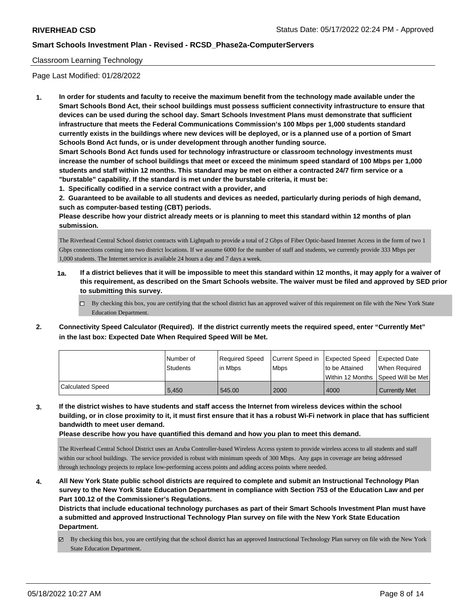#### Classroom Learning Technology

Page Last Modified: 01/28/2022

**1. In order for students and faculty to receive the maximum benefit from the technology made available under the Smart Schools Bond Act, their school buildings must possess sufficient connectivity infrastructure to ensure that devices can be used during the school day. Smart Schools Investment Plans must demonstrate that sufficient infrastructure that meets the Federal Communications Commission's 100 Mbps per 1,000 students standard currently exists in the buildings where new devices will be deployed, or is a planned use of a portion of Smart Schools Bond Act funds, or is under development through another funding source.**

**Smart Schools Bond Act funds used for technology infrastructure or classroom technology investments must increase the number of school buildings that meet or exceed the minimum speed standard of 100 Mbps per 1,000 students and staff within 12 months. This standard may be met on either a contracted 24/7 firm service or a "burstable" capability. If the standard is met under the burstable criteria, it must be:**

**1. Specifically codified in a service contract with a provider, and**

**2. Guaranteed to be available to all students and devices as needed, particularly during periods of high demand, such as computer-based testing (CBT) periods.**

**Please describe how your district already meets or is planning to meet this standard within 12 months of plan submission.**

The Riverhead Central School district contracts with Lightpath to provide a total of 2 Gbps of Fiber Optic-based Internet Access in the form of two 1 Gbps connections coming into two district locations. If we assume 6000 for the number of staff and students, we currently provide 333 Mbps per 1,000 students. The Internet service is available 24 hours a day and 7 days a week.

- **1a. If a district believes that it will be impossible to meet this standard within 12 months, it may apply for a waiver of this requirement, as described on the Smart Schools website. The waiver must be filed and approved by SED prior to submitting this survey.**
	- By checking this box, you are certifying that the school district has an approved waiver of this requirement on file with the New York State Education Department.
- **2. Connectivity Speed Calculator (Required). If the district currently meets the required speed, enter "Currently Met" in the last box: Expected Date When Required Speed Will be Met.**

|                  | l Number of | Required Speed | Current Speed in Expected Speed |                                     | <b>Expected Date</b> |
|------------------|-------------|----------------|---------------------------------|-------------------------------------|----------------------|
|                  | Students    | l in Mbps      | <b>Mbps</b>                     | Ito be Attained                     | When Required        |
|                  |             |                |                                 | Within 12 Months ISpeed Will be Met |                      |
| Calculated Speed | 5,450       | 545.00         | 2000                            | 4000                                | <b>Currently Met</b> |

**3. If the district wishes to have students and staff access the Internet from wireless devices within the school building, or in close proximity to it, it must first ensure that it has a robust Wi-Fi network in place that has sufficient bandwidth to meet user demand.**

**Please describe how you have quantified this demand and how you plan to meet this demand.**

The Riverhead Central School District uses an Aruba Controller-based Wireless Access system to provide wireless access to all students and staff within our school buildings. The service provided is robust with minimum speeds of 300 Mbps. Any gaps in coverage are being addressed through technology projects to replace low-performing access points and adding access points where needed.

**4. All New York State public school districts are required to complete and submit an Instructional Technology Plan survey to the New York State Education Department in compliance with Section 753 of the Education Law and per Part 100.12 of the Commissioner's Regulations.**

**Districts that include educational technology purchases as part of their Smart Schools Investment Plan must have a submitted and approved Instructional Technology Plan survey on file with the New York State Education Department.**

By checking this box, you are certifying that the school district has an approved Instructional Technology Plan survey on file with the New York State Education Department.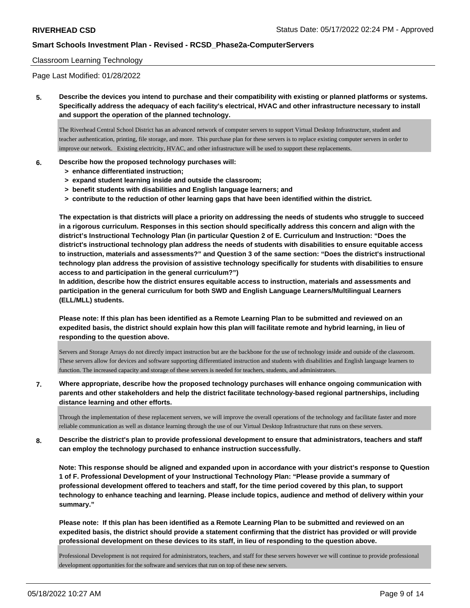#### Classroom Learning Technology

Page Last Modified: 01/28/2022

**5. Describe the devices you intend to purchase and their compatibility with existing or planned platforms or systems. Specifically address the adequacy of each facility's electrical, HVAC and other infrastructure necessary to install and support the operation of the planned technology.**

The Riverhead Central School District has an advanced network of computer servers to support Virtual Desktop Infrastructure, student and teacher authentication, printing, file storage, and more. This purchase plan for these servers is to replace existing computer servers in order to improve our network. Existing electricity, HVAC, and other infrastructure will be used to support these replacements.

#### **6. Describe how the proposed technology purchases will:**

- **> enhance differentiated instruction;**
- **> expand student learning inside and outside the classroom;**
- **> benefit students with disabilities and English language learners; and**
- **> contribute to the reduction of other learning gaps that have been identified within the district.**

**The expectation is that districts will place a priority on addressing the needs of students who struggle to succeed in a rigorous curriculum. Responses in this section should specifically address this concern and align with the district's Instructional Technology Plan (in particular Question 2 of E. Curriculum and Instruction: "Does the district's instructional technology plan address the needs of students with disabilities to ensure equitable access to instruction, materials and assessments?" and Question 3 of the same section: "Does the district's instructional technology plan address the provision of assistive technology specifically for students with disabilities to ensure access to and participation in the general curriculum?")**

**In addition, describe how the district ensures equitable access to instruction, materials and assessments and participation in the general curriculum for both SWD and English Language Learners/Multilingual Learners (ELL/MLL) students.**

**Please note: If this plan has been identified as a Remote Learning Plan to be submitted and reviewed on an expedited basis, the district should explain how this plan will facilitate remote and hybrid learning, in lieu of responding to the question above.**

Servers and Storage Arrays do not directly impact instruction but are the backbone for the use of technology inside and outside of the classroom. These servers allow for devices and software supporting differentiated instruction and students with disabilities and English language learners to function. The increased capacity and storage of these servers is needed for teachers, students, and administrators.

**7. Where appropriate, describe how the proposed technology purchases will enhance ongoing communication with parents and other stakeholders and help the district facilitate technology-based regional partnerships, including distance learning and other efforts.**

Through the implementation of these replacement servers, we will improve the overall operations of the technology and facilitate faster and more reliable communication as well as distance learning through the use of our Virtual Desktop Infrastructure that runs on these servers.

**8. Describe the district's plan to provide professional development to ensure that administrators, teachers and staff can employ the technology purchased to enhance instruction successfully.**

**Note: This response should be aligned and expanded upon in accordance with your district's response to Question 1 of F. Professional Development of your Instructional Technology Plan: "Please provide a summary of professional development offered to teachers and staff, for the time period covered by this plan, to support technology to enhance teaching and learning. Please include topics, audience and method of delivery within your summary."**

**Please note: If this plan has been identified as a Remote Learning Plan to be submitted and reviewed on an expedited basis, the district should provide a statement confirming that the district has provided or will provide professional development on these devices to its staff, in lieu of responding to the question above.**

Professional Development is not required for administrators, teachers, and staff for these servers however we will continue to provide professional development opportunities for the software and services that run on top of these new servers.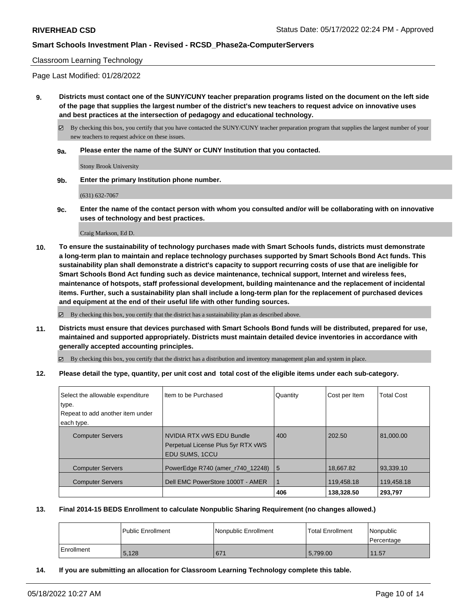#### Classroom Learning Technology

Page Last Modified: 01/28/2022

**9. Districts must contact one of the SUNY/CUNY teacher preparation programs listed on the document on the left side of the page that supplies the largest number of the district's new teachers to request advice on innovative uses and best practices at the intersection of pedagogy and educational technology.**

 $\boxtimes$  By checking this box, you certify that you have contacted the SUNY/CUNY teacher preparation program that supplies the largest number of your new teachers to request advice on these issues.

**9a. Please enter the name of the SUNY or CUNY Institution that you contacted.**

Stony Brook University

**9b. Enter the primary Institution phone number.**

(631) 632-7067

**9c. Enter the name of the contact person with whom you consulted and/or will be collaborating with on innovative uses of technology and best practices.**

Craig Markson, Ed D.

**10. To ensure the sustainability of technology purchases made with Smart Schools funds, districts must demonstrate a long-term plan to maintain and replace technology purchases supported by Smart Schools Bond Act funds. This sustainability plan shall demonstrate a district's capacity to support recurring costs of use that are ineligible for Smart Schools Bond Act funding such as device maintenance, technical support, Internet and wireless fees, maintenance of hotspots, staff professional development, building maintenance and the replacement of incidental items. Further, such a sustainability plan shall include a long-term plan for the replacement of purchased devices and equipment at the end of their useful life with other funding sources.**

 $\boxtimes$  By checking this box, you certify that the district has a sustainability plan as described above.

**11. Districts must ensure that devices purchased with Smart Schools Bond funds will be distributed, prepared for use, maintained and supported appropriately. Districts must maintain detailed device inventories in accordance with generally accepted accounting principles.**

By checking this box, you certify that the district has a distribution and inventory management plan and system in place.

**12. Please detail the type, quantity, per unit cost and total cost of the eligible items under each sub-category.**

| Select the allowable expenditure | Item to be Purchased                                                              | Quantity  | Cost per Item | <b>Total Cost</b> |
|----------------------------------|-----------------------------------------------------------------------------------|-----------|---------------|-------------------|
| type.                            |                                                                                   |           |               |                   |
| Repeat to add another item under |                                                                                   |           |               |                   |
| each type.                       |                                                                                   |           |               |                   |
| <b>Computer Servers</b>          | NVIDIA RTX vWS EDU Bundle<br>Perpetual License Plus 5yr RTX vWS<br>EDU SUMS, 1CCU | 400       | 202.50        | 81.000.00         |
| <b>Computer Servers</b>          | PowerEdge R740 (amer_r740_12248)                                                  | <b>15</b> | 18,667.82     | 93.339.10         |
| <b>Computer Servers</b>          | Dell EMC PowerStore 1000T - AMER                                                  | 1         | 119.458.18    | 119,458.18        |
|                                  |                                                                                   | 406       | 138.328.50    | 293,797           |

#### **13. Final 2014-15 BEDS Enrollment to calculate Nonpublic Sharing Requirement (no changes allowed.)**

|            | l Public Enrollment | Nonpublic Enrollment | Total Enrollment | l Nonpublic<br>l Percentage |
|------------|---------------------|----------------------|------------------|-----------------------------|
| Enrollment | 5,128               | 671                  | 5,799.00         | 11.57                       |

**14. If you are submitting an allocation for Classroom Learning Technology complete this table.**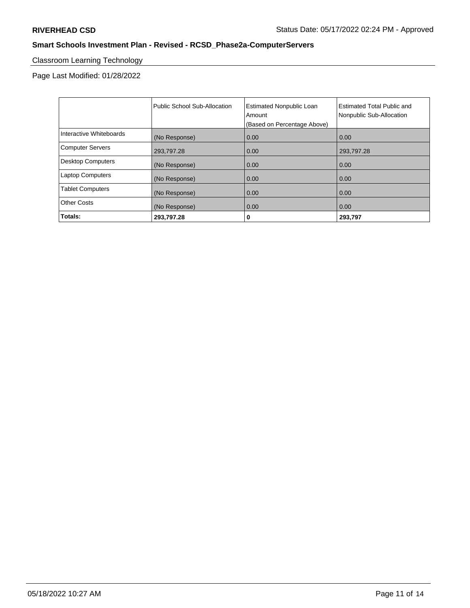# Classroom Learning Technology

Page Last Modified: 01/28/2022

|                          | Public School Sub-Allocation | <b>Estimated Nonpublic Loan</b><br>Amount | Estimated Total Public and<br>Nonpublic Sub-Allocation |
|--------------------------|------------------------------|-------------------------------------------|--------------------------------------------------------|
|                          |                              | (Based on Percentage Above)               |                                                        |
| Interactive Whiteboards  | (No Response)                | 0.00                                      | 0.00                                                   |
| <b>Computer Servers</b>  | 293.797.28                   | 0.00                                      | 293,797.28                                             |
| <b>Desktop Computers</b> | (No Response)                | 0.00                                      | 0.00                                                   |
| <b>Laptop Computers</b>  | (No Response)                | 0.00                                      | 0.00                                                   |
| <b>Tablet Computers</b>  | (No Response)                | 0.00                                      | 0.00                                                   |
| <b>Other Costs</b>       | (No Response)                | 0.00                                      | 0.00                                                   |
| Totals:                  | 293.797.28                   | 0                                         | 293,797                                                |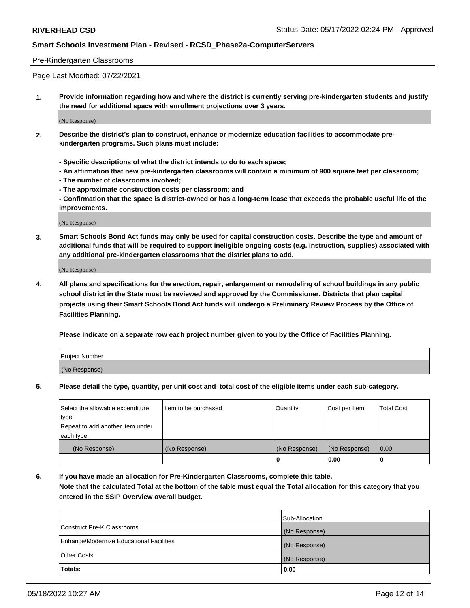#### Pre-Kindergarten Classrooms

Page Last Modified: 07/22/2021

**1. Provide information regarding how and where the district is currently serving pre-kindergarten students and justify the need for additional space with enrollment projections over 3 years.**

(No Response)

- **2. Describe the district's plan to construct, enhance or modernize education facilities to accommodate prekindergarten programs. Such plans must include:**
	- **Specific descriptions of what the district intends to do to each space;**
	- **An affirmation that new pre-kindergarten classrooms will contain a minimum of 900 square feet per classroom;**
	- **The number of classrooms involved;**
	- **The approximate construction costs per classroom; and**
	- **Confirmation that the space is district-owned or has a long-term lease that exceeds the probable useful life of the improvements.**

(No Response)

**3. Smart Schools Bond Act funds may only be used for capital construction costs. Describe the type and amount of additional funds that will be required to support ineligible ongoing costs (e.g. instruction, supplies) associated with any additional pre-kindergarten classrooms that the district plans to add.**

(No Response)

**4. All plans and specifications for the erection, repair, enlargement or remodeling of school buildings in any public school district in the State must be reviewed and approved by the Commissioner. Districts that plan capital projects using their Smart Schools Bond Act funds will undergo a Preliminary Review Process by the Office of Facilities Planning.**

**Please indicate on a separate row each project number given to you by the Office of Facilities Planning.**

| Project Number |  |
|----------------|--|
| (No Response)  |  |

**5. Please detail the type, quantity, per unit cost and total cost of the eligible items under each sub-category.**

| Select the allowable expenditure | Item to be purchased | Quantity      | Cost per Item | <b>Total Cost</b> |
|----------------------------------|----------------------|---------------|---------------|-------------------|
| type.                            |                      |               |               |                   |
| Repeat to add another item under |                      |               |               |                   |
| each type.                       |                      |               |               |                   |
| (No Response)                    | (No Response)        | (No Response) | (No Response) | 0.00              |
|                                  |                      | 0             | 0.00          |                   |

**6. If you have made an allocation for Pre-Kindergarten Classrooms, complete this table.**

**Note that the calculated Total at the bottom of the table must equal the Total allocation for this category that you entered in the SSIP Overview overall budget.**

|                                          | Sub-Allocation |
|------------------------------------------|----------------|
| Construct Pre-K Classrooms               | (No Response)  |
| Enhance/Modernize Educational Facilities | (No Response)  |
| <b>Other Costs</b>                       | (No Response)  |
| Totals:                                  | 0.00           |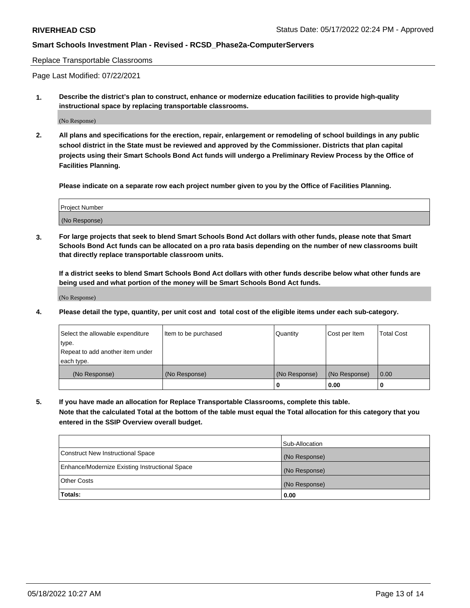#### Replace Transportable Classrooms

Page Last Modified: 07/22/2021

**1. Describe the district's plan to construct, enhance or modernize education facilities to provide high-quality instructional space by replacing transportable classrooms.**

(No Response)

**2. All plans and specifications for the erection, repair, enlargement or remodeling of school buildings in any public school district in the State must be reviewed and approved by the Commissioner. Districts that plan capital projects using their Smart Schools Bond Act funds will undergo a Preliminary Review Process by the Office of Facilities Planning.**

**Please indicate on a separate row each project number given to you by the Office of Facilities Planning.**

| <b>Project Number</b> |  |
|-----------------------|--|
| (No Response)         |  |

**3. For large projects that seek to blend Smart Schools Bond Act dollars with other funds, please note that Smart Schools Bond Act funds can be allocated on a pro rata basis depending on the number of new classrooms built that directly replace transportable classroom units.**

**If a district seeks to blend Smart Schools Bond Act dollars with other funds describe below what other funds are being used and what portion of the money will be Smart Schools Bond Act funds.**

(No Response)

**4. Please detail the type, quantity, per unit cost and total cost of the eligible items under each sub-category.**

| Select the allowable expenditure | Item to be purchased | Quantity      | Cost per Item | <b>Total Cost</b> |
|----------------------------------|----------------------|---------------|---------------|-------------------|
| type.                            |                      |               |               |                   |
| Repeat to add another item under |                      |               |               |                   |
| each type.                       |                      |               |               |                   |
| (No Response)                    | (No Response)        | (No Response) | (No Response) | 0.00              |
|                                  |                      | U             | 0.00          |                   |

**5. If you have made an allocation for Replace Transportable Classrooms, complete this table.**

**Note that the calculated Total at the bottom of the table must equal the Total allocation for this category that you entered in the SSIP Overview overall budget.**

|                                                | Sub-Allocation |
|------------------------------------------------|----------------|
| Construct New Instructional Space              | (No Response)  |
| Enhance/Modernize Existing Instructional Space | (No Response)  |
| <b>Other Costs</b>                             | (No Response)  |
| Totals:                                        | 0.00           |